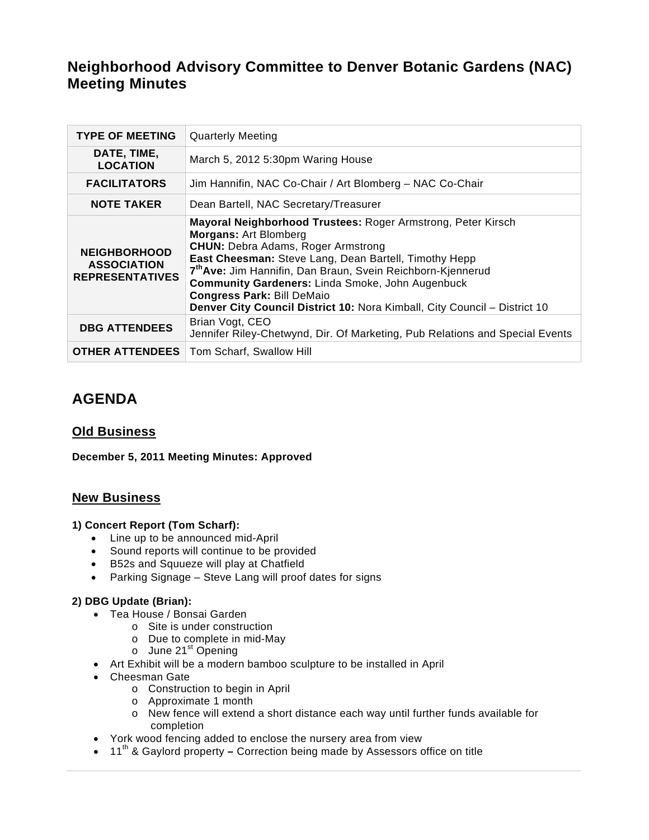# **Neighborhood Advisory Committee to Denver Botanic Gardens (NAC) Meeting Minutes**

| <b>TYPE OF MEETING</b>                                              | <b>Quarterly Meeting</b>                                                                                                                                                                                                                                                                                                                                                                                                                                   |
|---------------------------------------------------------------------|------------------------------------------------------------------------------------------------------------------------------------------------------------------------------------------------------------------------------------------------------------------------------------------------------------------------------------------------------------------------------------------------------------------------------------------------------------|
| DATE, TIME,<br><b>LOCATION</b>                                      | March 5, 2012 5:30pm Waring House                                                                                                                                                                                                                                                                                                                                                                                                                          |
| <b>FACILITATORS</b>                                                 | Jim Hannifin, NAC Co-Chair / Art Blomberg - NAC Co-Chair                                                                                                                                                                                                                                                                                                                                                                                                   |
| <b>NOTE TAKER</b>                                                   | Dean Bartell, NAC Secretary/Treasurer                                                                                                                                                                                                                                                                                                                                                                                                                      |
| <b>NEIGHBORHOOD</b><br><b>ASSOCIATION</b><br><b>REPRESENTATIVES</b> | Mayoral Neighborhood Trustees: Roger Armstrong, Peter Kirsch<br><b>Morgans: Art Blomberg</b><br><b>CHUN:</b> Debra Adams, Roger Armstrong<br>East Cheesman: Steve Lang, Dean Bartell, Timothy Hepp<br>7 <sup>th</sup> Ave: Jim Hannifin, Dan Braun, Svein Reichborn-Kjennerud<br><b>Community Gardeners: Linda Smoke, John Augenbuck</b><br><b>Congress Park: Bill DeMaio</b><br>Denver City Council District 10: Nora Kimball, City Council - District 10 |
| <b>DBG ATTENDEES</b>                                                | Brian Vogt, CEO<br>Jennifer Riley-Chetwynd, Dir. Of Marketing, Pub Relations and Special Events                                                                                                                                                                                                                                                                                                                                                            |
| <b>OTHER ATTENDEES</b>                                              | Tom Scharf, Swallow Hill                                                                                                                                                                                                                                                                                                                                                                                                                                   |

# **AGENDA**

# **Old Business**

**December 5, 2011 Meeting Minutes: Approved** 

# **New Business**

## **1) Concert Report (Tom Scharf):**

- Line up to be announced mid-April
- Sound reports will continue to be provided
- B52s and Squueze will play at Chatfield
- Parking Signage Steve Lang will proof dates for signs

## **2) DBG Update (Brian):**

- Tea House / Bonsai Garden
	- o Site is under construction
		- o Due to complete in mid-May
		- $\circ$  June 21<sup>st</sup> Opening
- Art Exhibit will be a modern bamboo sculpture to be installed in April
- Cheesman Gate
	- o Construction to begin in April
	- o Approximate 1 month
	- o New fence will extend a short distance each way until further funds available for completion
- York wood fencing added to enclose the nursery area from view
- 11<sup>th</sup> & Gaylord property Correction being made by Assessors office on title